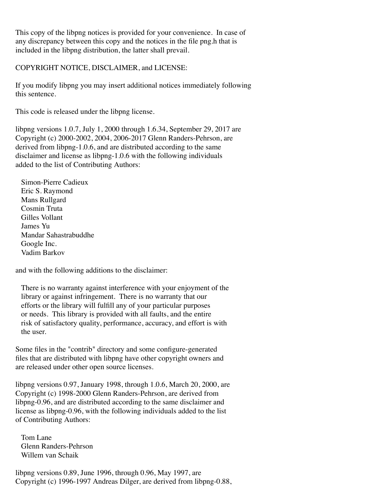This copy of the libpng notices is provided for your convenience. In case of any discrepancy between this copy and the notices in the file png.h that is included in the libpng distribution, the latter shall prevail.

COPYRIGHT NOTICE, DISCLAIMER, and LICENSE:

If you modify libpng you may insert additional notices immediately following this sentence.

This code is released under the libpng license.

libpng versions 1.0.7, July 1, 2000 through 1.6.34, September 29, 2017 are Copyright (c) 2000-2002, 2004, 2006-2017 Glenn Randers-Pehrson, are derived from libpng-1.0.6, and are distributed according to the same disclaimer and license as libpng-1.0.6 with the following individuals added to the list of Contributing Authors:

 Simon-Pierre Cadieux Eric S. Raymond Mans Rullgard Cosmin Truta Gilles Vollant James Yu Mandar Sahastrabuddhe Google Inc. Vadim Barkov

and with the following additions to the disclaimer:

 There is no warranty against interference with your enjoyment of the library or against infringement. There is no warranty that our efforts or the library will fulfill any of your particular purposes or needs. This library is provided with all faults, and the entire risk of satisfactory quality, performance, accuracy, and effort is with the user.

Some files in the "contrib" directory and some configure-generated files that are distributed with libpng have other copyright owners and are released under other open source licenses.

libpng versions 0.97, January 1998, through 1.0.6, March 20, 2000, are Copyright (c) 1998-2000 Glenn Randers-Pehrson, are derived from libpng-0.96, and are distributed according to the same disclaimer and license as libpng-0.96, with the following individuals added to the list of Contributing Authors:

 Tom Lane Glenn Randers-Pehrson Willem van Schaik

libpng versions 0.89, June 1996, through 0.96, May 1997, are Copyright (c) 1996-1997 Andreas Dilger, are derived from libpng-0.88,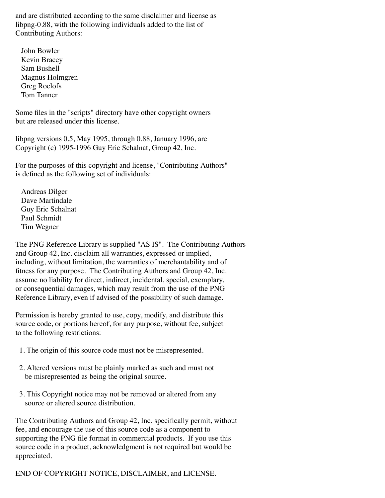and are distributed according to the same disclaimer and license as libpng-0.88, with the following individuals added to the list of Contributing Authors:

 John Bowler Kevin Bracey Sam Bushell Magnus Holmgren Greg Roelofs Tom Tanner

Some files in the "scripts" directory have other copyright owners but are released under this license.

libpng versions 0.5, May 1995, through 0.88, January 1996, are Copyright (c) 1995-1996 Guy Eric Schalnat, Group 42, Inc.

For the purposes of this copyright and license, "Contributing Authors" is defined as the following set of individuals:

 Andreas Dilger Dave Martindale Guy Eric Schalnat Paul Schmidt Tim Wegner

The PNG Reference Library is supplied "AS IS". The Contributing Authors and Group 42, Inc. disclaim all warranties, expressed or implied, including, without limitation, the warranties of merchantability and of fitness for any purpose. The Contributing Authors and Group 42, Inc. assume no liability for direct, indirect, incidental, special, exemplary, or consequential damages, which may result from the use of the PNG Reference Library, even if advised of the possibility of such damage.

Permission is hereby granted to use, copy, modify, and distribute this source code, or portions hereof, for any purpose, without fee, subject to the following restrictions:

- 1. The origin of this source code must not be misrepresented.
- 2. Altered versions must be plainly marked as such and must not be misrepresented as being the original source.
- 3. This Copyright notice may not be removed or altered from any source or altered source distribution.

The Contributing Authors and Group 42, Inc. specifically permit, without fee, and encourage the use of this source code as a component to supporting the PNG file format in commercial products. If you use this source code in a product, acknowledgment is not required but would be appreciated.

END OF COPYRIGHT NOTICE, DISCLAIMER, and LICENSE.